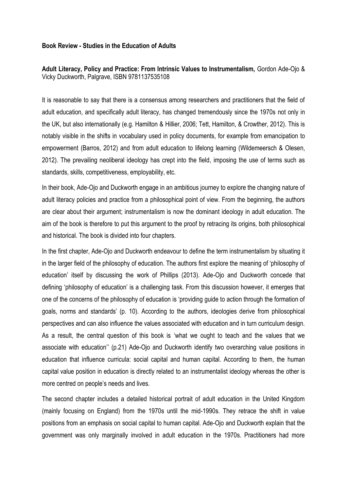## **Book Review - Studies in the Education of Adults**

## **Adult Literacy, Policy and Practice: From Intrinsic Values to Instrumentalism,** Gordon Ade-Ojo & Vicky Duckworth, Palgrave, ISBN 9781137535108

It is reasonable to say that there is a consensus among researchers and practitioners that the field of adult education, and specifically adult literacy, has changed tremendously since the 1970s not only in the UK, but also internationally (e.g. Hamilton & Hillier, 2006; Tett, Hamilton, & Crowther, 2012). This is notably visible in the shifts in vocabulary used in policy documents, for example from emancipation to empowerment (Barros, 2012) and from adult education to lifelong learning (Wildemeersch & Olesen, 2012). The prevailing neoliberal ideology has crept into the field, imposing the use of terms such as standards, skills, competitiveness, employability, etc.

In their book, Ade-Ojo and Duckworth engage in an ambitious journey to explore the changing nature of adult literacy policies and practice from a philosophical point of view. From the beginning, the authors are clear about their argument; instrumentalism is now the dominant ideology in adult education. The aim of the book is therefore to put this argument to the proof by retracing its origins, both philosophical and historical. The book is divided into four chapters.

In the first chapter, Ade-Ojo and Duckworth endeavour to define the term instrumentalism by situating it in the larger field of the philosophy of education. The authors first explore the meaning of 'philosophy of education' itself by discussing the work of Phillips (2013). Ade-Ojo and Duckworth concede that defining 'philosophy of education' is a challenging task. From this discussion however, it emerges that one of the concerns of the philosophy of education is 'providing guide to action through the formation of goals, norms and standards' (p. 10). According to the authors, ideologies derive from philosophical perspectives and can also influence the values associated with education and in turn curriculum design. As a result, the central question of this book is 'what we ought to teach and the values that we associate with education'' (p.21) Ade-Ojo and Duckworth identify two overarching value positions in education that influence curricula: social capital and human capital. According to them, the human capital value position in education is directly related to an instrumentalist ideology whereas the other is more centred on people's needs and lives.

The second chapter includes a detailed historical portrait of adult education in the United Kingdom (mainly focusing on England) from the 1970s until the mid-1990s. They retrace the shift in value positions from an emphasis on social capital to human capital. Ade-Ojo and Duckworth explain that the government was only marginally involved in adult education in the 1970s. Practitioners had more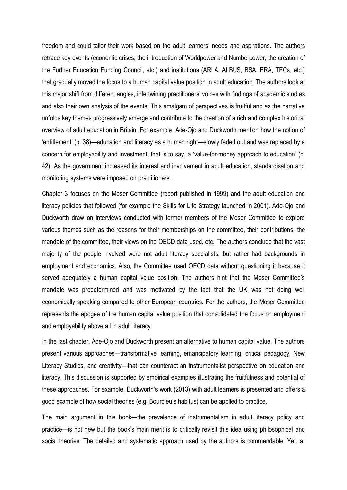freedom and could tailor their work based on the adult learners' needs and aspirations. The authors retrace key events (economic crises, the introduction of Worldpower and Numberpower, the creation of the Further Education Funding Council, etc.) and institutions (ARLA, ALBUS, BSA, ERA, TECs, etc.) that gradually moved the focus to a human capital value position in adult education. The authors look at this major shift from different angles, intertwining practitioners' voices with findings of academic studies and also their own analysis of the events. This amalgam of perspectives is fruitful and as the narrative unfolds key themes progressively emerge and contribute to the creation of a rich and complex historical overview of adult education in Britain. For example, Ade-Ojo and Duckworth mention how the notion of 'entitlement' (p. 38)—education and literacy as a human right—slowly faded out and was replaced by a concern for employability and investment, that is to say, a 'value-for-money approach to education' (p. 42). As the government increased its interest and involvement in adult education, standardisation and monitoring systems were imposed on practitioners.

Chapter 3 focuses on the Moser Committee (report published in 1999) and the adult education and literacy policies that followed (for example the Skills for Life Strategy launched in 2001). Ade-Ojo and Duckworth draw on interviews conducted with former members of the Moser Committee to explore various themes such as the reasons for their memberships on the committee, their contributions, the mandate of the committee, their views on the OECD data used, etc. The authors conclude that the vast majority of the people involved were not adult literacy specialists, but rather had backgrounds in employment and economics. Also, the Committee used OECD data without questioning it because it served adequately a human capital value position. The authors hint that the Moser Committee's mandate was predetermined and was motivated by the fact that the UK was not doing well economically speaking compared to other European countries. For the authors, the Moser Committee represents the apogee of the human capital value position that consolidated the focus on employment and employability above all in adult literacy.

In the last chapter, Ade-Ojo and Duckworth present an alternative to human capital value. The authors present various approaches—transformative learning, emancipatory learning, critical pedagogy, New Literacy Studies, and creativity—that can counteract an instrumentalist perspective on education and literacy. This discussion is supported by empirical examples illustrating the fruitfulness and potential of these approaches. For example, Duckworth's work (2013) with adult learners is presented and offers a good example of how social theories (e.g. Bourdieu's habitus) can be applied to practice.

The main argument in this book—the prevalence of instrumentalism in adult literacy policy and practice—is not new but the book's main merit is to critically revisit this idea using philosophical and social theories. The detailed and systematic approach used by the authors is commendable. Yet, at